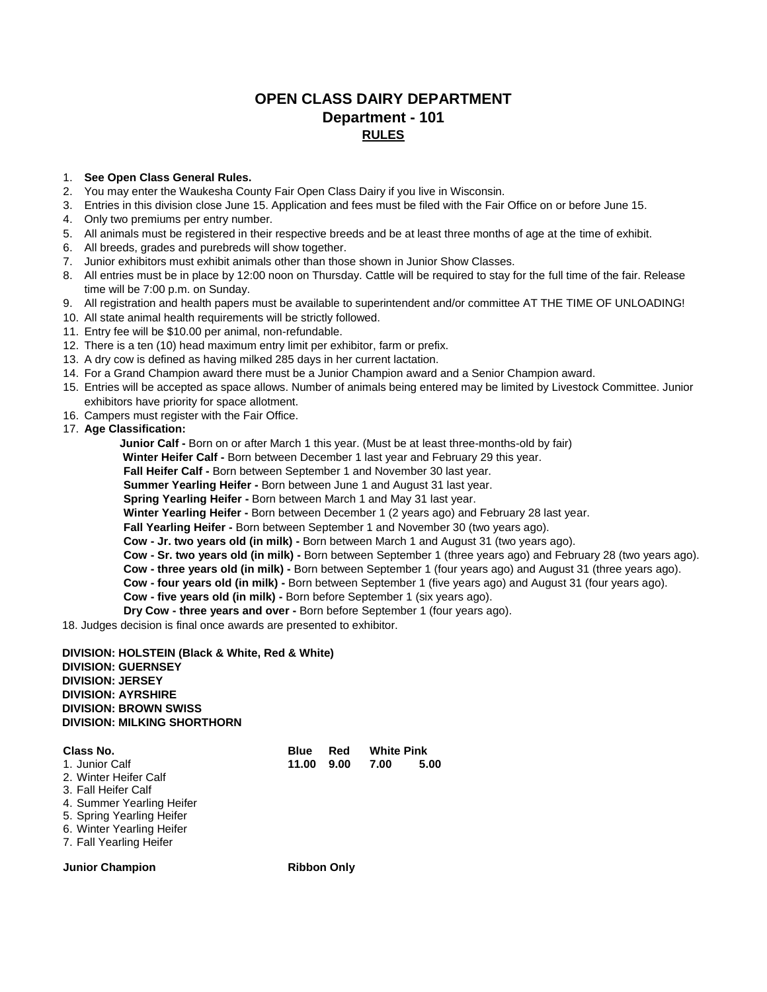## **OPEN CLASS DAIRY DEPARTMENT Department - 101 RULES**

## 1. **See Open Class General Rules.**

- 2. You may enter the Waukesha County Fair Open Class Dairy if you live in Wisconsin.
- 3. Entries in this division close June 15. Application and fees must be filed with the Fair Office on or before June 15.
- 4. Only two premiums per entry number.
- 5. All animals must be registered in their respective breeds and be at least three months of age at the time of exhibit.
- 6. All breeds, grades and purebreds will show together.
- 7. Junior exhibitors must exhibit animals other than those shown in Junior Show Classes.
- 8. All entries must be in place by 12:00 noon on Thursday. Cattle will be required to stay for the full time of the fair. Release time will be 7:00 p.m. on Sunday.
- 9. All registration and health papers must be available to superintendent and/or committee AT THE TIME OF UNLOADING!
- 10. All state animal health requirements will be strictly followed.
- 11. Entry fee will be \$10.00 per animal, non-refundable.
- 12. There is a ten (10) head maximum entry limit per exhibitor, farm or prefix.
- 13. A dry cow is defined as having milked 285 days in her current lactation.
- 14. For a Grand Champion award there must be a Junior Champion award and a Senior Champion award.
- 15. Entries will be accepted as space allows. Number of animals being entered may be limited by Livestock Committee. Junior exhibitors have priority for space allotment.
- 16. Campers must register with the Fair Office.
- 17. **Age Classification:**

**Junior Calf -** Born on or after March 1 this year. (Must be at least three-months-old by fair)

 **Winter Heifer Calf -** Born between December 1 last year and February 29 this year.

**Fall Heifer Calf -** Born between September 1 and November 30 last year.

**Summer Yearling Heifer -** Born between June 1 and August 31 last year.

**Spring Yearling Heifer -** Born between March 1 and May 31 last year.

**Winter Yearling Heifer -** Born between December 1 (2 years ago) and February 28 last year.

**Fall Yearling Heifer -** Born between September 1 and November 30 (two years ago).

**Cow - Jr. two years old (in milk) -** Born between March 1 and August 31 (two years ago).

**Cow - Sr. two years old (in milk) -** Born between September 1 (three years ago) and February 28 (two years ago).

**Cow - three years old (in milk) -** Born between September 1 (four years ago) and August 31 (three years ago).

**Cow - four years old (in milk) -** Born between September 1 (five years ago) and August 31 (four years ago).

**Cow - five years old (in milk) -** Born before September 1 (six years ago).

**Dry Cow - three years and over -** Born before September 1 (four years ago).

18. Judges decision is final once awards are presented to exhibitor.

**DIVISION: HOLSTEIN (Black & White, Red & White) DIVISION: GUERNSEY DIVISION: JERSEY DIVISION: AYRSHIRE DIVISION: BROWN SWISS DIVISION: MILKING SHORTHORN** 

| Class No.                                                                                                                                                                        | <b>Blue</b>        | Red  | <b>White Pink</b> |      |
|----------------------------------------------------------------------------------------------------------------------------------------------------------------------------------|--------------------|------|-------------------|------|
| 1. Junior Calf<br>2. Winter Heifer Calf<br>3. Fall Heifer Calf<br>4. Summer Yearling Heifer<br>5. Spring Yearling Heifer<br>6. Winter Yearling Heifer<br>7. Fall Yearling Heifer | 11.00              | 9.00 | 7.00              | 5.00 |
| <b>Junior Champion</b>                                                                                                                                                           | <b>Ribbon Only</b> |      |                   |      |